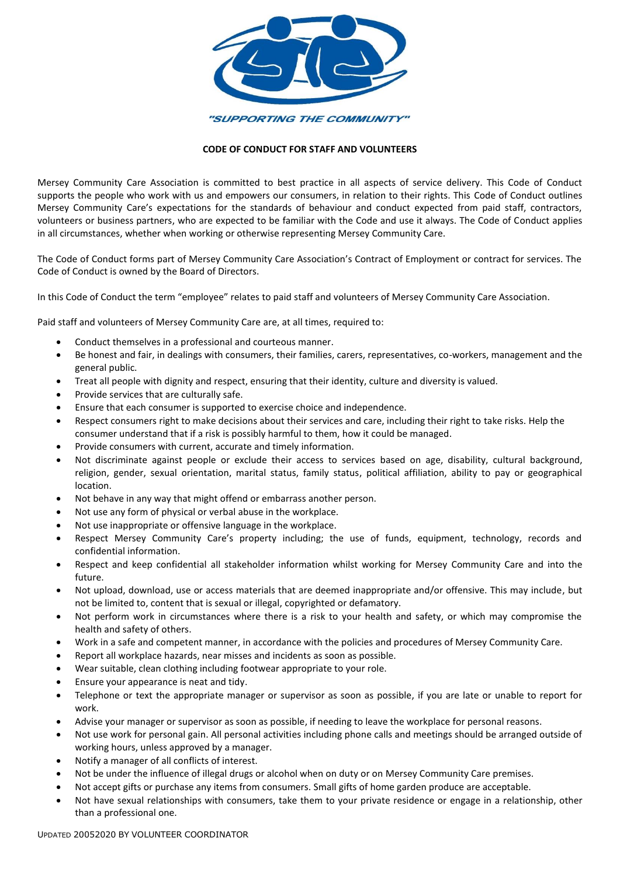

## **CODE OF CONDUCT FOR STAFF AND VOLUNTEERS**

[Mersey Community Care Association is committed to best practice in all aspects of service delivery. This Code of Conduct](file:///C:/Users/om/AppData/Local/Microsoft/Windows/INetCache/ss/AppData/Local/Microsoft/Windows/NEW%20POLICY%20MANUAL%20%202014%20Approved%20by%20Board/New%20Policy%20Documents%202014/Forms/Section%207%20Code%20of%20Behaviour%20for%20Staff%20and%20Volunteers.doc)  [supports the people who work with us and empowers our consumers, in relation to their rights. This](file:///C:/Users/om/AppData/Local/Microsoft/Windows/INetCache/ss/AppData/Local/Microsoft/Windows/NEW%20POLICY%20MANUAL%20%202014%20Approved%20by%20Board/New%20Policy%20Documents%202014/Forms/Section%207%20Code%20of%20Behaviour%20for%20Staff%20and%20Volunteers.doc) Code of Conduct outlines [Mersey Community Care's expectations for the standards of behaviour and conduct expected from paid staff, contractors,](file:///C:/Users/om/AppData/Local/Microsoft/Windows/INetCache/ss/AppData/Local/Microsoft/Windows/NEW%20POLICY%20MANUAL%20%202014%20Approved%20by%20Board/New%20Policy%20Documents%202014/Forms/Section%207%20Code%20of%20Behaviour%20for%20Staff%20and%20Volunteers.doc)  [volunteers or business partners, who are expected to be familiar with the Code and use it always. The Code of Conduct applies](file:///C:/Users/om/AppData/Local/Microsoft/Windows/INetCache/ss/AppData/Local/Microsoft/Windows/NEW%20POLICY%20MANUAL%20%202014%20Approved%20by%20Board/New%20Policy%20Documents%202014/Forms/Section%207%20Code%20of%20Behaviour%20for%20Staff%20and%20Volunteers.doc)  in all circumstances, [whether when working or otherwise representing Mersey Community Care.](file:///C:/Users/om/AppData/Local/Microsoft/Windows/INetCache/ss/AppData/Local/Microsoft/Windows/NEW%20POLICY%20MANUAL%20%202014%20Approved%20by%20Board/New%20Policy%20Documents%202014/Forms/Section%207%20Code%20of%20Behaviour%20for%20Staff%20and%20Volunteers.doc) 

The Code of Conduct forms part of Mersey Community Care Association's Contract of Employment or contract for services. The Code of Conduct is owned by the Board of Directors.

In this Code of Conduct the term "employee" relates to paid staff and volunteers of Mersey Community Care Association.

Paid staff and volunteers of Mersey Community Care are, at all times, required to:

- Conduct themselves in a professional and courteous manner.
- Be honest and fair, in dealings with consumers, their families, carers, representatives, co-workers, management and the general public.
- Treat all people with dignity and respect, ensuring that their identity, culture and diversity is valued.
- Provide services that are culturally safe.
- Ensure that each consumer is supported to exercise choice and independence.
- Respect consumers right to make decisions about their services and care, including their right to take risks. Help the consumer understand that if a risk is possibly harmful to them, how it could be managed.
- Provide consumers with current, accurate and timely information.
- Not discriminate against people or exclude their access to services based on age, disability, cultural background, religion, gender, sexual orientation, marital status, family status, political affiliation, ability to pay or geographical location.
- Not behave in any way that might offend or embarrass another person.
- Not use any form of physical or verbal abuse in the workplace.
- Not use inappropriate or offensive language in the workplace.
- Respect Mersey Community Care's property including; the use of funds, equipment, technology, records and confidential information.
- Respect and keep confidential all stakeholder information whilst working for Mersey Community Care and into the future.
- Not upload, download, use or access materials that are deemed inappropriate and/or offensive. This may include, but not be limited to, content that is sexual or illegal, copyrighted or defamatory.
- Not perform work in circumstances where there is a risk to your health and safety, or which may compromise the health and safety of others.
- Work in a safe and competent manner, in accordance with the policies and procedures of Mersey Community Care.
- Report all workplace hazards, near misses and incidents as soon as possible.
- Wear suitable, clean clothing including footwear appropriate to your role.
- Ensure your appearance is neat and tidy.
- Telephone or text the appropriate manager or supervisor as soon as possible, if you are late or unable to report for work.
- Advise your manager or supervisor as soon as possible, if needing to leave the workplace for personal reasons.
- Not use work for personal gain. All personal activities including phone calls and meetings should be arranged outside of working hours, unless approved by a manager.
- Notify a manager of all conflicts of interest.
- Not be under the influence of illegal drugs or alcohol when on duty or on Mersey Community Care premises.
- Not accept gifts or purchase any items from consumers. Small gifts of home garden produce are acceptable.
- Not have sexual relationships with consumers, take them to your private residence or engage in a relationship, other than a professional one.